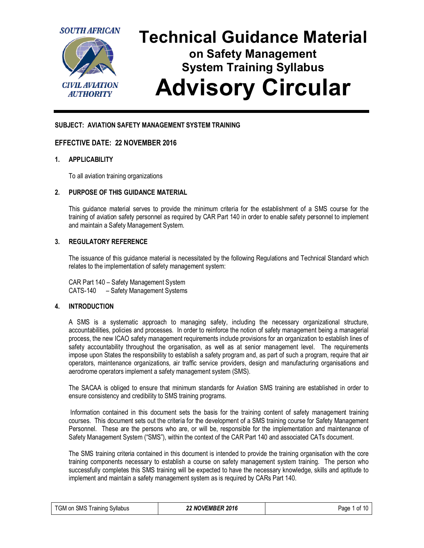

# **SUBJECT: AVIATION SAFETY MANAGEMENT SYSTEM TRAINING**

# **EFFECTIVE DATE: 22 NOVEMBER 2016**

### **1. APPLICABILITY**

To all aviation training organizations

### **2. PURPOSE OF THIS GUIDANCE MATERIAL**

This guidance material serves to provide the minimum criteria for the establishment of a SMS course for the training of aviation safety personnel as required by CAR Part 140 in order to enable safety personnel to implement and maintain a Safety Management System.

# **3. REGULATORY REFERENCE**

The issuance of this guidance material is necessitated by the following Regulations and Technical Standard which relates to the implementation of safety management system:

CAR Part 140 – Safety Management System CATS-140 – Safety Management Systems

### **4. INTRODUCTION**

A SMS is a systematic approach to managing safety, including the necessary organizational structure, accountabilities, policies and processes. In order to reinforce the notion of safety management being a managerial process, the new ICAO safety management requirements include provisions for an organization to establish lines of safety accountability throughout the organisation, as well as at senior management level. The requirements impose upon States the responsibility to establish a safety program and, as part of such a program, require that air operators, maintenance organizations, air traffic service providers, design and manufacturing organisations and aerodrome operators implement a safety management system (SMS).

The SACAA is obliged to ensure that minimum standards for Aviation SMS training are established in order to ensure consistency and credibility to SMS training programs.

Information contained in this document sets the basis for the training content of safety management training courses. This document sets out the criteria for the development of a SMS training course for Safety Management Personnel. These are the persons who are, or will be, responsible for the implementation and maintenance of Safety Management System ("SMS"), within the context of the CAR Part 140 and associated CATs document.

The SMS training criteria contained in this document is intended to provide the training organisation with the core training components necessary to establish a course on safety management system training. The person who successfully completes this SMS training will be expected to have the necessary knowledge, skills and aptitude to implement and maintain a safety management system as is required by CARs Part 140.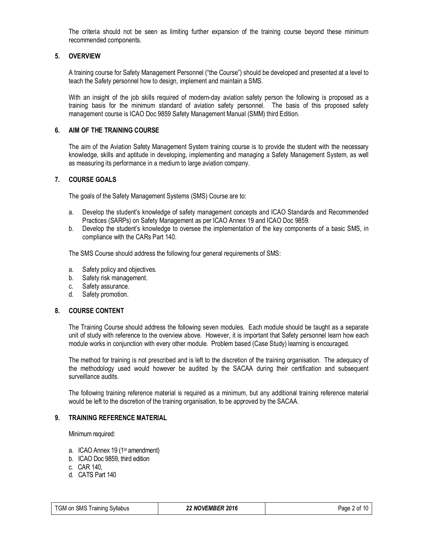The criteria should not be seen as limiting further expansion of the training course beyond these minimum recommended components.

# **5. OVERVIEW**

A training course for Safety Management Personnel ("the Course") should be developed and presented at a level to teach the Safety personnel how to design, implement and maintain a SMS.

With an insight of the job skills required of modern-day aviation safety person the following is proposed as a training basis for the minimum standard of aviation safety personnel. The basis of this proposed safety management course is ICAO Doc 9859 Safety Management Manual (SMM) third Edition.

### **6. AIM OF THE TRAINING COURSE**

The aim of the Aviation Safety Management System training course is to provide the student with the necessary knowledge, skills and aptitude in developing, implementing and managing a Safety Management System, as well as measuring its performance in a medium to large aviation company.

### **7. COURSE GOALS**

The goals of the Safety Management Systems (SMS) Course are to:

- a. Develop the student's knowledge of safety management concepts and ICAO Standards and Recommended Practices (SARPs) on Safety Management as per ICAO Annex 19 and ICAO Doc 9859.
- b. Develop the student's knowledge to oversee the implementation of the key components of a basic SMS, in compliance with the CARs Part 140.

The SMS Course should address the following four general requirements of SMS:

- a. Safety policy and objectives.
- b. Safety risk management.
- c. Safety assurance.
- d. Safety promotion.

### **8. COURSE CONTENT**

The Training Course should address the following seven modules. Each module should be taught as a separate unit of study with reference to the overview above. However, it is important that Safety personnel learn how each module works in conjunction with every other module. Problem based (Case Study) learning is encouraged.

The method for training is not prescribed and is left to the discretion of the training organisation. The adequacy of the methodology used would however be audited by the SACAA during their certification and subsequent surveillance audits.

The following training reference material is required as a minimum, but any additional training reference material would be left to the discretion of the training organisation, to be approved by the SACAA.

### **9. TRAINING REFERENCE MATERIAL**

Minimum required:

- a. ICAO Annex 19 (1st amendment)
- b. ICAO Doc 9859, third edition
- c. CAR 140,
- d. CATS Part 140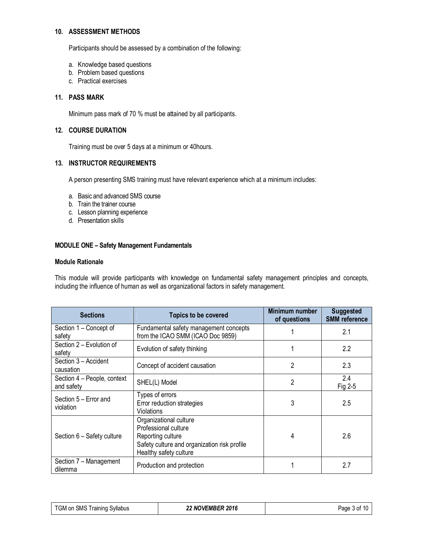# **10. ASSESSMENT METHODS**

Participants should be assessed by a combination of the following:

- a. Knowledge based questions
- b. Problem based questions
- c. Practical exercises

### **11. PASS MARK**

Minimum pass mark of 70 % must be attained by all participants.

# **12. COURSE DURATION**

Training must be over 5 days at a minimum or 40hours.

# **13. INSTRUCTOR REQUIREMENTS**

A person presenting SMS training must have relevant experience which at a minimum includes:

- a. Basic and advanced SMS course
- b. Train the trainer course
- c. Lesson planning experience
- d. Presentation skills

### **MODULE ONE – Safety Management Fundamentals**

#### **Module Rationale**

This module will provide participants with knowledge on fundamental safety management principles and concepts, including the influence of human as well as organizational factors in safety management.

| <b>Sections</b>                                                    | <b>Topics to be covered</b>                                                                                                                   | Minimum number<br>of questions | <b>Suggested</b><br><b>SMM</b> reference |
|--------------------------------------------------------------------|-----------------------------------------------------------------------------------------------------------------------------------------------|--------------------------------|------------------------------------------|
| Section 1 – Concept of<br>safety                                   | Fundamental safety management concepts<br>from the ICAO SMM (ICAO Doc 9859)                                                                   |                                | 2.1                                      |
| Section 2 - Evolution of<br>safety                                 | Evolution of safety thinking                                                                                                                  |                                | 2.2                                      |
| Section 3 - Accident<br>Concept of accident causation<br>causation |                                                                                                                                               | 2                              | 2.3                                      |
| Section 4 - People, context<br>and safety                          | SHEL(L) Model                                                                                                                                 | $\overline{2}$                 | 2.4<br>Fig 2-5                           |
| Section 5 - Error and<br>violation                                 | Types of errors<br>Error reduction strategies<br><b>Violations</b>                                                                            | 3                              | 2.5                                      |
| Section 6 - Safety culture                                         | Organizational culture<br>Professional culture<br>Reporting culture<br>Safety culture and organization risk profile<br>Healthy safety culture | 4                              | 2.6                                      |
| Section 7 - Management<br>Production and protection<br>dilemma     |                                                                                                                                               |                                | 2.7                                      |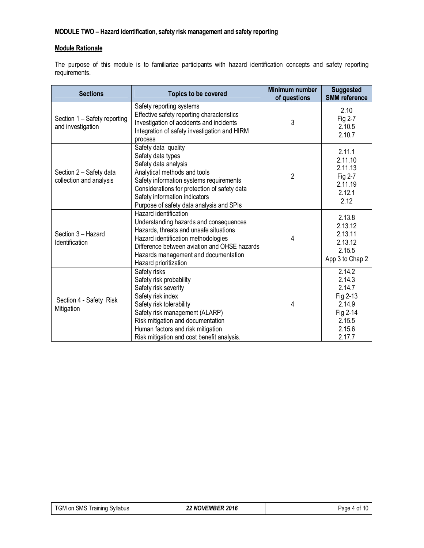# **MODULE TWO – Hazard identification, safety risk management and safety reporting**

# **Module Rationale**

The purpose of this module is to familiarize participants with hazard identification concepts and safety reporting requirements.

| <b>Sections</b>                                    | <b>Topics to be covered</b>                                                                                                                                                                                                                                                | Minimum number<br>of questions | <b>Suggested</b><br><b>SMM</b> reference                                                   |
|----------------------------------------------------|----------------------------------------------------------------------------------------------------------------------------------------------------------------------------------------------------------------------------------------------------------------------------|--------------------------------|--------------------------------------------------------------------------------------------|
| Section 1 - Safety reporting<br>and investigation  | Safety reporting systems<br>Effective safety reporting characteristics<br>Investigation of accidents and incidents<br>Integration of safety investigation and HIRM<br>process                                                                                              | 3                              | 2.10<br>Fig 2-7<br>2.10.5<br>2.10.7                                                        |
| Section 2 - Safety data<br>collection and analysis | Safety data quality<br>Safety data types<br>Safety data analysis<br>Analytical methods and tools<br>Safety information systems requirements<br>Considerations for protection of safety data<br>Safety information indicators<br>Purpose of safety data analysis and SPIs   | 2                              | 2.11.1<br>2.11.10<br>2.11.13<br>Fig 2-7<br>2.11.19<br>2.12.1<br>2.12                       |
| Section 3 - Hazard<br><b>Identification</b>        | Hazard identification<br>Understanding hazards and consequences<br>Hazards, threats and unsafe situations<br>Hazard identification methodologies<br>Difference between aviation and OHSE hazards<br>Hazards management and documentation<br>Hazard prioritization          | 4                              | 2.13.8<br>2.13.12<br>2.13.11<br>2.13.12<br>2.15.5<br>App 3 to Chap 2                       |
| Section 4 - Safety Risk<br>Mitigation              | Safety risks<br>Safety risk probability<br>Safety risk severity<br>Safety risk index<br>Safety risk tolerability<br>Safety risk management (ALARP)<br>Risk mitigation and documentation<br>Human factors and risk mitigation<br>Risk mitigation and cost benefit analysis. | 4                              | 2.14.2<br>2.14.3<br>2.14.7<br>Fig 2-13<br>2.14.9<br>Fig 2-14<br>2.15.5<br>2.15.6<br>2.17.7 |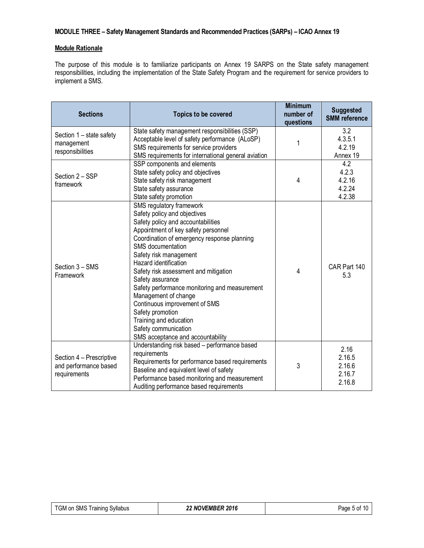# **MODULE THREE – Safety Management Standards and Recommended Practices (SARPs) – ICAO Annex 19**

# **Module Rationale**

The purpose of this module is to familiarize participants on Annex 19 SARPS on the State safety management responsibilities, including the implementation of the State Safety Program and the requirement for service providers to implement a SMS.

| <b>Sections</b>                                                                                                                                             | <b>Topics to be covered</b>                                                                                                                                                                                                                                                                                                                                                                                                                                                                                                                                              |   | <b>Suggested</b><br><b>SMM</b> reference     |
|-------------------------------------------------------------------------------------------------------------------------------------------------------------|--------------------------------------------------------------------------------------------------------------------------------------------------------------------------------------------------------------------------------------------------------------------------------------------------------------------------------------------------------------------------------------------------------------------------------------------------------------------------------------------------------------------------------------------------------------------------|---|----------------------------------------------|
| Section 1 - state safety<br>management<br>responsibilities                                                                                                  | State safety management responsibilities (SSP)<br>Acceptable level of safety performance (ALoSP)<br>SMS requirements for service providers<br>SMS requirements for international general aviation                                                                                                                                                                                                                                                                                                                                                                        | 1 | 3.2<br>4.3.5.1<br>4.2.19<br>Annex 19         |
| SSP components and elements<br>State safety policy and objectives<br>Section 2 - SSP<br>State safety risk management<br>framework<br>State safety assurance |                                                                                                                                                                                                                                                                                                                                                                                                                                                                                                                                                                          | 4 | 4.2<br>4.2.3<br>4.2.16<br>4.2.24<br>4.2.38   |
| Section 3 - SMS<br>Framework                                                                                                                                | State safety promotion<br>SMS regulatory framework<br>Safety policy and objectives<br>Safety policy and accountabilities<br>Appointment of key safety personnel<br>Coordination of emergency response planning<br>SMS documentation<br>Safety risk management<br>Hazard identification<br>Safety risk assessment and mitigation<br>Safety assurance<br>Safety performance monitoring and measurement<br>Management of change<br>Continuous improvement of SMS<br>Safety promotion<br>Training and education<br>Safety communication<br>SMS acceptance and accountability |   | CAR Part 140<br>5.3                          |
| Section 4 - Prescriptive<br>and performance based<br>requirements                                                                                           | Understanding risk based - performance based<br>requirements<br>Requirements for performance based requirements<br>Baseline and equivalent level of safety<br>Performance based monitoring and measurement<br>Auditing performance based requirements                                                                                                                                                                                                                                                                                                                    | 3 | 2.16<br>2.16.5<br>2.16.6<br>2.16.7<br>2.16.8 |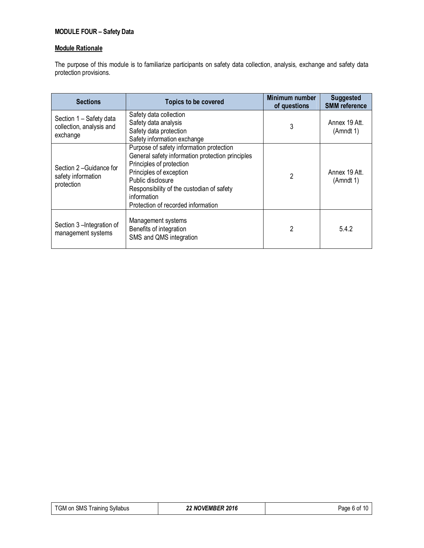# **MODULE FOUR – Safety Data**

### **Module Rationale**

The purpose of this module is to familiarize participants on safety data collection, analysis, exchange and safety data protection provisions.

| <b>Sections</b>                                                 | <b>Topics to be covered</b>                                                                                                                                                                                                                                                | Minimum number<br>of questions | <b>Suggested</b><br><b>SMM</b> reference |
|-----------------------------------------------------------------|----------------------------------------------------------------------------------------------------------------------------------------------------------------------------------------------------------------------------------------------------------------------------|--------------------------------|------------------------------------------|
| Section 1 - Safety data<br>collection, analysis and<br>exchange | Safety data collection<br>Safety data analysis<br>Safety data protection<br>Safety information exchange                                                                                                                                                                    | 3                              | Annex 19 Att.<br>(Amndt 1)               |
| Section 2-Guidance for<br>safety information<br>protection      | Purpose of safety information protection<br>General safety information protection principles<br>Principles of protection<br>Principles of exception<br>Public disclosure<br>Responsibility of the custodian of safety<br>information<br>Protection of recorded information | 2                              | Annex 19 Att.<br>(Amndt 1)               |
| Section 3-Integration of<br>management systems                  | Management systems<br>Benefits of integration<br>SMS and QMS integration                                                                                                                                                                                                   | 2                              | 5.4.2                                    |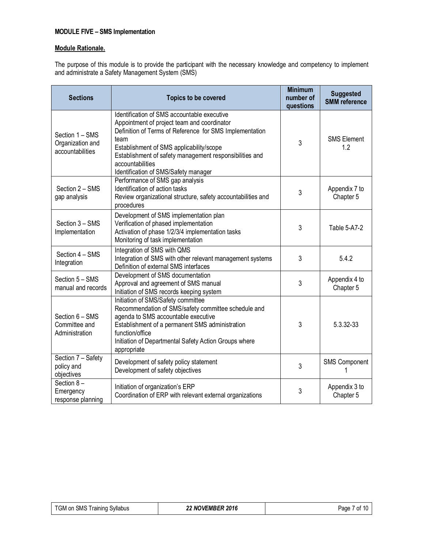# **MODULE FIVE – SMS Implementation**

# **Module Rationale.**

The purpose of this module is to provide the participant with the necessary knowledge and competency to implement and administrate a Safety Management System (SMS)

| <b>Sections</b>                                                                                                                                                                                                                                                                                                                      | <b>Topics to be covered</b>                                                                                                                                                                                                                                                                                                      | <b>Minimum</b><br>number of<br>questions | <b>Suggested</b><br><b>SMM</b> reference |
|--------------------------------------------------------------------------------------------------------------------------------------------------------------------------------------------------------------------------------------------------------------------------------------------------------------------------------------|----------------------------------------------------------------------------------------------------------------------------------------------------------------------------------------------------------------------------------------------------------------------------------------------------------------------------------|------------------------------------------|------------------------------------------|
| Section 1 - SMS<br>Organization and<br>accountabilities                                                                                                                                                                                                                                                                              | Identification of SMS accountable executive<br>Appointment of project team and coordinator<br>Definition of Terms of Reference for SMS Implementation<br>team<br>Establishment of SMS applicability/scope<br>Establishment of safety management responsibilities and<br>accountabilities<br>Identification of SMS/Safety manager | 3                                        | <b>SMS Element</b><br>1.2                |
| Section 2 - SMS<br>gap analysis                                                                                                                                                                                                                                                                                                      | Performance of SMS gap analysis<br>Identification of action tasks<br>Review organizational structure, safety accountabilities and<br>procedures                                                                                                                                                                                  |                                          | Appendix 7 to<br>Chapter 5               |
| Development of SMS implementation plan<br>Section 3 - SMS<br>Verification of phased implementation<br>Activation of phase 1/2/3/4 implementation tasks<br>Implementation<br>Monitoring of task implementation                                                                                                                        |                                                                                                                                                                                                                                                                                                                                  | 3                                        | Table 5-A7-2                             |
| Section 4 - SMS<br>Integration                                                                                                                                                                                                                                                                                                       | Integration of SMS with QMS<br>Integration of SMS with other relevant management systems<br>Definition of external SMS interfaces                                                                                                                                                                                                | 3                                        | 5.4.2                                    |
| Development of SMS documentation<br>Section 5 - SMS<br>Approval and agreement of SMS manual<br>manual and records<br>Initiation of SMS records keeping system                                                                                                                                                                        |                                                                                                                                                                                                                                                                                                                                  | 3                                        | Appendix 4 to<br>Chapter 5               |
| Initiation of SMS/Safety committee<br>Recommendation of SMS/safety committee schedule and<br>Section 6 - SMS<br>agenda to SMS accountable executive<br>Committee and<br>Establishment of a permanent SMS administration<br>Administration<br>function/office<br>Initiation of Departmental Safety Action Groups where<br>appropriate |                                                                                                                                                                                                                                                                                                                                  | 3                                        | 5.3.32-33                                |
| Section 7 - Safety<br>Development of safety policy statement<br>policy and<br>Development of safety objectives<br>objectives                                                                                                                                                                                                         |                                                                                                                                                                                                                                                                                                                                  | 3                                        | <b>SMS Component</b>                     |
| Section 8-<br>Initiation of organization's ERP<br>Emergency<br>Coordination of ERP with relevant external organizations<br>response planning                                                                                                                                                                                         |                                                                                                                                                                                                                                                                                                                                  | 3                                        | Appendix 3 to<br>Chapter 5               |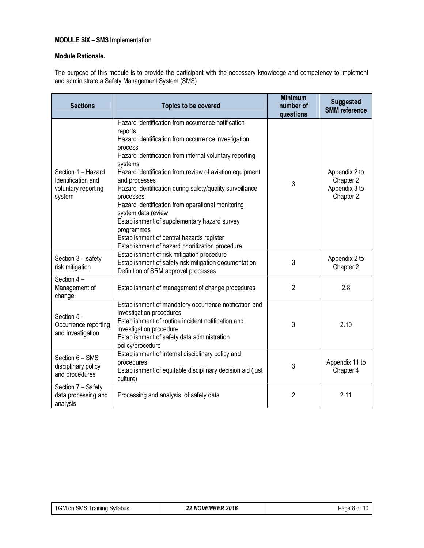# **MODULE SIX – SMS Implementation**

# **Module Rationale.**

The purpose of this module is to provide the participant with the necessary knowledge and competency to implement and administrate a Safety Management System (SMS)

| <b>Sections</b><br><b>Topics to be covered</b>                                                                                                                                                                                                                                                     |                                                                                                                                                                                                                                                                                                                                                                                                                                                                                                                                                                                                      | <b>Minimum</b><br>number of<br>questions | <b>Suggested</b><br><b>SMM</b> reference                 |
|----------------------------------------------------------------------------------------------------------------------------------------------------------------------------------------------------------------------------------------------------------------------------------------------------|------------------------------------------------------------------------------------------------------------------------------------------------------------------------------------------------------------------------------------------------------------------------------------------------------------------------------------------------------------------------------------------------------------------------------------------------------------------------------------------------------------------------------------------------------------------------------------------------------|------------------------------------------|----------------------------------------------------------|
| Section 1 - Hazard<br>Identification and<br>voluntary reporting<br>system                                                                                                                                                                                                                          | Hazard identification from occurrence notification<br>reports<br>Hazard identification from occurrence investigation<br>process<br>Hazard identification from internal voluntary reporting<br>systems<br>Hazard identification from review of aviation equipment<br>and processes<br>Hazard identification during safety/quality surveillance<br>processes<br>Hazard identification from operational monitoring<br>system data review<br>Establishment of supplementary hazard survey<br>programmes<br>Establishment of central hazards register<br>Establishment of hazard prioritization procedure | 3                                        | Appendix 2 to<br>Chapter 2<br>Appendix 3 to<br>Chapter 2 |
| Section 3 - safety<br>risk mitigation                                                                                                                                                                                                                                                              | Establishment of risk mitigation procedure<br>Establishment of safety risk mitigation documentation<br>Definition of SRM approval processes                                                                                                                                                                                                                                                                                                                                                                                                                                                          | 3                                        | Appendix 2 to<br>Chapter 2                               |
| Section 4-<br>Management of<br>Establishment of management of change procedures<br>change                                                                                                                                                                                                          |                                                                                                                                                                                                                                                                                                                                                                                                                                                                                                                                                                                                      | $\overline{2}$                           | 2.8                                                      |
| Establishment of mandatory occurrence notification and<br>investigation procedures<br>Section 5 -<br>Establishment of routine incident notification and<br>Occurrence reporting<br>investigation procedure<br>and Investigation<br>Establishment of safety data administration<br>policy/procedure |                                                                                                                                                                                                                                                                                                                                                                                                                                                                                                                                                                                                      | 3                                        | 2.10                                                     |
| Section 6 - SMS<br>disciplinary policy<br>and procedures                                                                                                                                                                                                                                           | Establishment of internal disciplinary policy and<br>procedures<br>Establishment of equitable disciplinary decision aid (just<br>culture)                                                                                                                                                                                                                                                                                                                                                                                                                                                            | 3                                        | Appendix 11 to<br>Chapter 4                              |
| Section 7 - Safety<br>data processing and<br>analysis                                                                                                                                                                                                                                              | Processing and analysis of safety data                                                                                                                                                                                                                                                                                                                                                                                                                                                                                                                                                               | $\overline{2}$                           | 2.11                                                     |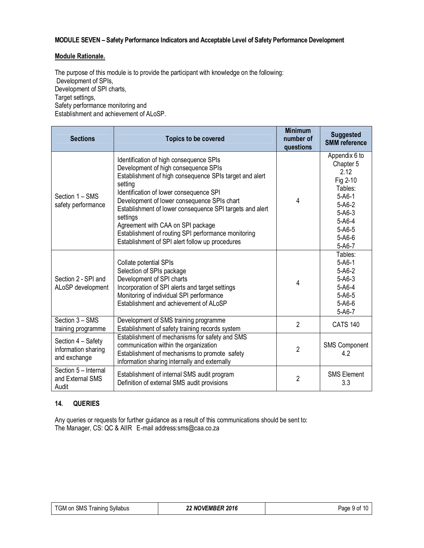# **MODULE SEVEN – Safety Performance Indicators and Acceptable Level of Safety Performance Development**

### **Module Rationale.**

The purpose of this module is to provide the participant with knowledge on the following: Development of SPIs, Development of SPI charts, Target settings, Safety performance monitoring and Establishment and achievement of ALoSP.

| <b>Sections</b>                                                                                                                                 | <b>Topics to be covered</b>                                                                                                                                                                                                                                                                                                                                                                                                                                            | <b>Minimum</b><br>number of<br>questions | <b>Suggested</b><br><b>SMM</b> reference                                                                                                                                  |
|-------------------------------------------------------------------------------------------------------------------------------------------------|------------------------------------------------------------------------------------------------------------------------------------------------------------------------------------------------------------------------------------------------------------------------------------------------------------------------------------------------------------------------------------------------------------------------------------------------------------------------|------------------------------------------|---------------------------------------------------------------------------------------------------------------------------------------------------------------------------|
| Section 1 - SMS<br>safety performance                                                                                                           | Identification of high consequence SPIs<br>Development of high consequence SPIs<br>Establishment of high consequence SPIs target and alert<br>setting<br>Identification of lower consequence SPI<br>Development of lower consequence SPIs chart<br>Establishment of lower consequence SPI targets and alert<br>settings<br>Agreement with CAA on SPI package<br>Establishment of routing SPI performance monitoring<br>Establishment of SPI alert follow up procedures | 4                                        | Appendix 6 to<br>Chapter 5<br>2.12<br>Fig 2-10<br>Tables:<br>$5 - A6 - 1$<br>$5 - A6 - 2$<br>$5 - A6 - 3$<br>$5 - A6 - 4$<br>$5 - A6 - 5$<br>$5 - A6 - 6$<br>$5 - A6 - 7$ |
| Section 2 - SPI and<br>ALoSP development                                                                                                        | Collate potential SPIs<br>Selection of SPIs package<br>Development of SPI charts<br>Incorporation of SPI alerts and target settings<br>Monitoring of individual SPI performance<br>Establishment and achievement of ALoSP                                                                                                                                                                                                                                              |                                          | Tables:<br>$5 - A6 - 1$<br>$5 - A6 - 2$<br>$5 - A6 - 3$<br>$5 - A6 - 4$<br>$5 - A6 - 5$<br>$5 - A6 - 6$<br>$5 - A6 - 7$                                                   |
| Section 3 - SMS<br>training programme                                                                                                           | Development of SMS training programme<br>Establishment of safety training records system                                                                                                                                                                                                                                                                                                                                                                               |                                          | <b>CATS 140</b>                                                                                                                                                           |
| Section 4 - Safety<br>information sharing<br>and exchange                                                                                       | Establishment of mechanisms for safety and SMS<br>communication within the organization<br>Establishment of mechanisms to promote safety<br>information sharing internally and externally                                                                                                                                                                                                                                                                              |                                          | <b>SMS Component</b><br>4.2                                                                                                                                               |
| Section 5 - Internal<br>Establishment of internal SMS audit program<br>and External SMS<br>Definition of external SMS audit provisions<br>Audit |                                                                                                                                                                                                                                                                                                                                                                                                                                                                        | $\overline{2}$                           | <b>SMS Element</b><br>3.3                                                                                                                                                 |

### **14. QUERIES**

Any queries or requests for further guidance as a result of this communications should be sent to: The Manager, CS: QC & AIIR E-mail address:sms@caa.co.za